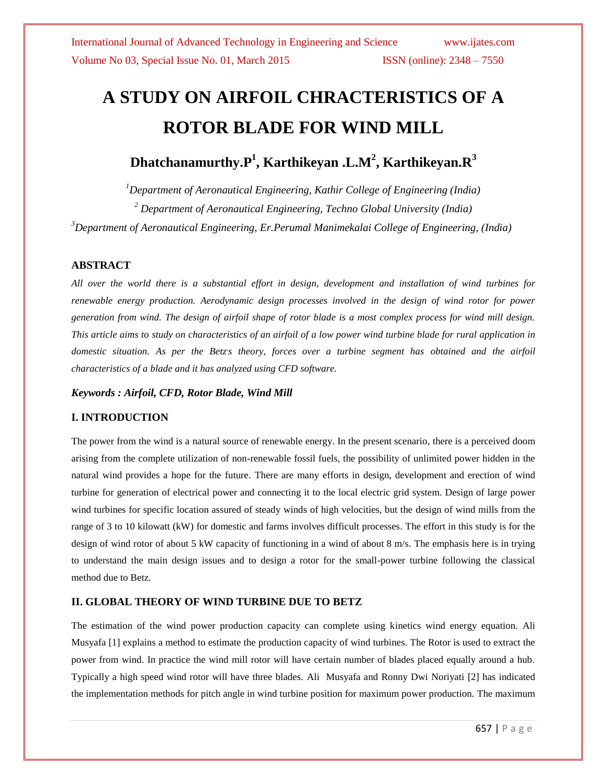# **A STUDY ON AIRFOIL CHRACTERISTICS OF A ROTOR BLADE FOR WIND MILL**

# **Dhatchanamurthy.P<sup>1</sup> , Karthikeyan .L.M<sup>2</sup> , Karthikeyan.R<sup>3</sup>**

*<sup>1</sup>Department of Aeronautical Engineering, Kathir College of Engineering (India) <sup>2</sup> Department of Aeronautical Engineering, Techno Global University (India)*

*<sup>3</sup>Department of Aeronautical Engineering, Er.Perumal Manimekalai College of Engineering, (India)*

## **ABSTRACT**

*All over the world there is a substantial effort in design, development and installation of wind turbines for renewable energy production. Aerodynamic design processes involved in the design of wind rotor for power generation from wind. The design of airfoil shape of rotor blade is a most complex process for wind mill design. This article aims to study on characteristics of an airfoil of a low power wind turbine blade for rural application in*  domestic situation. As per the Betz*'s theory, forces over a turbine segment has obtained and the airfoil characteristics of a blade and it has analyzed using CFD software.*

## *Keywords : Airfoil, CFD, Rotor Blade, Wind Mill*

## **I. INTRODUCTION**

The power from the wind is a natural source of renewable energy. In the present scenario, there is a perceived doom arising from the complete utilization of non-renewable fossil fuels, the possibility of unlimited power hidden in the natural wind provides a hope for the future. There are many efforts in design, development and erection of wind turbine for generation of electrical power and connecting it to the local electric grid system. Design of large power wind turbines for specific location assured of steady winds of high velocities, but the design of wind mills from the range of 3 to 10 kilowatt (kW) for domestic and farms involves difficult processes. The effort in this study is for the design of wind rotor of about 5 kW capacity of functioning in a wind of about 8 m/s. The emphasis here is in trying to understand the main design issues and to design a rotor for the small-power turbine following the classical method due to Betz.

# **II. GLOBAL THEORY OF WIND TURBINE DUE TO BETZ**

The estimation of the wind power production capacity can complete using kinetics wind energy equation. Ali Musyafa [1] explains a method to estimate the production capacity of wind turbines. The Rotor is used to extract the power from wind. In practice the wind mill rotor will have certain number of blades placed equally around a hub. Typically a high speed wind rotor will have three blades. Ali Musyafa and Ronny Dwi Noriyati [2] has indicated the implementation methods for pitch angle in wind turbine position for maximum power production. The maximum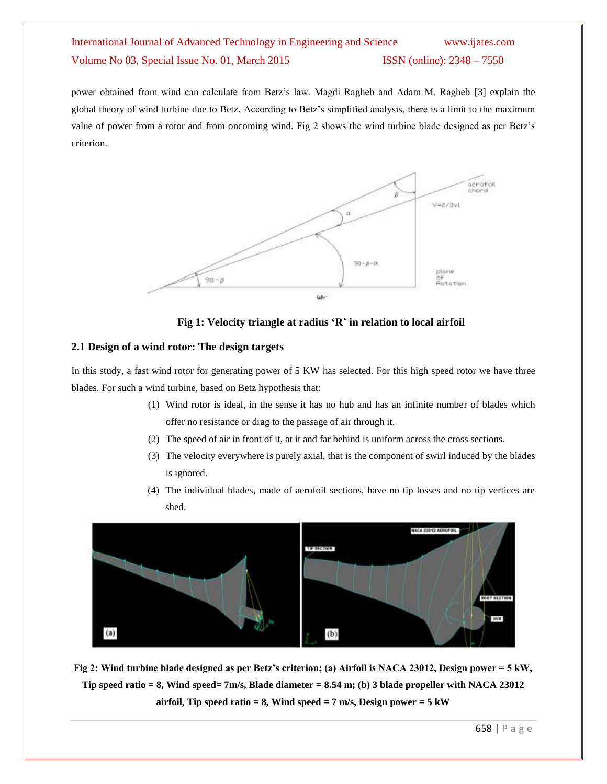power obtained from wind can calculate from Betz's law. Magdi Ragheb and Adam M. Ragheb [3] explain the global theory of wind turbine due to Betz. According to Betz's simplified analysis, there is a limit to the maximum value of power from a rotor and from oncoming wind. Fig 2 shows the wind turbine blade designed as per Betz's criterion.



**Fig 1: Velocity triangle at radius 'R' in relation to local airfoil**

## **2.1 Design of a wind rotor: The design targets**

In this study, a fast wind rotor for generating power of 5 KW has selected. For this high speed rotor we have three blades. For such a wind turbine, based on Betz hypothesis that:

- (1) Wind rotor is ideal, in the sense it has no hub and has an infinite number of blades which offer no resistance or drag to the passage of air through it.
- (2) The speed of air in front of it, at it and far behind is uniform across the cross sections.
- (3) The velocity everywhere is purely axial, that is the component of swirl induced by the blades is ignored.
- (4) The individual blades, made of aerofoil sections, have no tip losses and no tip vertices are shed.



**Fig 2: Wind turbine blade designed as per Betz's criterion; (a) Airfoil is NACA 23012, Design power = 5 kW, Tip speed ratio = 8, Wind speed= 7m/s, Blade diameter = 8.54 m; (b) 3 blade propeller with NACA 23012 airfoil, Tip speed ratio = 8, Wind speed = 7 m/s, Design power = 5 kW**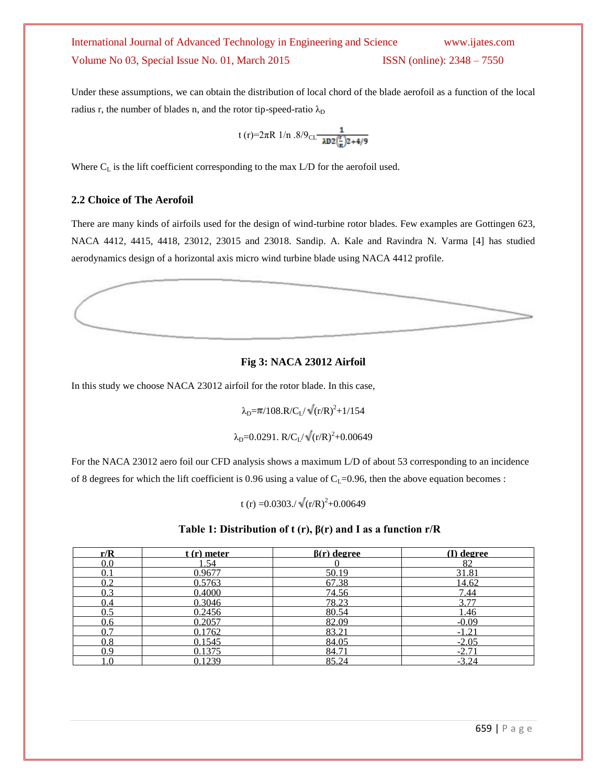Under these assumptions, we can obtain the distribution of local chord of the blade aerofoil as a function of the local radius r, the number of blades n, and the rotor tip-speed-ratio  $\lambda_D$ 

t (r)=2
$$
\pi
$$
R 1/n .8/9<sub>CL</sub> $\frac{1}{\lambda D2(\frac{r}{R})2+4/9}$ 

Where  $C_L$  is the lift coefficient corresponding to the max  $L/D$  for the aerofoil used.

## **2.2 Choice of The Aerofoil**

There are many kinds of airfoils used for the design of wind-turbine rotor blades. Few examples are Gottingen 623, NACA 4412, 4415, 4418, 23012, 23015 and 23018. Sandip. A. Kale and Ravindra N. Varma [4] has studied aerodynamics design of a horizontal axis micro wind turbine blade using NACA 4412 profile.



## **Fig 3: NACA 23012 Airfoil**

In this study we choose NACA 23012 airfoil for the rotor blade. In this case,

 $\lambda_{\rm D} = \pi / 108. R / C_{\rm L} / \sqrt{(r/R)^2 + 1/154}$ 

$$
\lambda_D = 0.0291. \ R/C_L/\sqrt{(r/R)^2 + 0.00649}
$$

For the NACA 23012 aero foil our CFD analysis shows a maximum L/D of about 53 corresponding to an incidence of 8 degrees for which the lift coefficient is 0.96 using a value of  $C_L$ =0.96, then the above equation becomes :

t (r) = 0.0303./ $\sqrt{(r/R)^2}$ +0.00649

## **Table 1: Distribution of t (r), β(r) and I as a function r/R**

| r/R       | $\epsilon$ (r) meter | $\beta(r)$ degree | (I) degree |
|-----------|----------------------|-------------------|------------|
| $0.0\,$   | .54                  |                   | 82         |
|           | 0.9677               | 50.19             | 31.81      |
| 02        | 0.5763               | 67.38             | 14.62      |
| 0.3       | 0.4000               | 74.56             | 7.44       |
| 0.4       | 0.3046               | 78.23             | 3.77       |
|           | 0.2456               | 80.54             | .46        |
| 0.6       | 0.2057               | 82.09             | $-0.09$    |
|           | 0.1762               | 83.21             | $-1.21$    |
| $\rm 0.8$ | 0.1545               | 84.05             | $-2.05$    |
| 0.9       | 0.1375               | 84.71             | $-2.7$     |
|           | 0.1239               | 85.24             | $-3.24$    |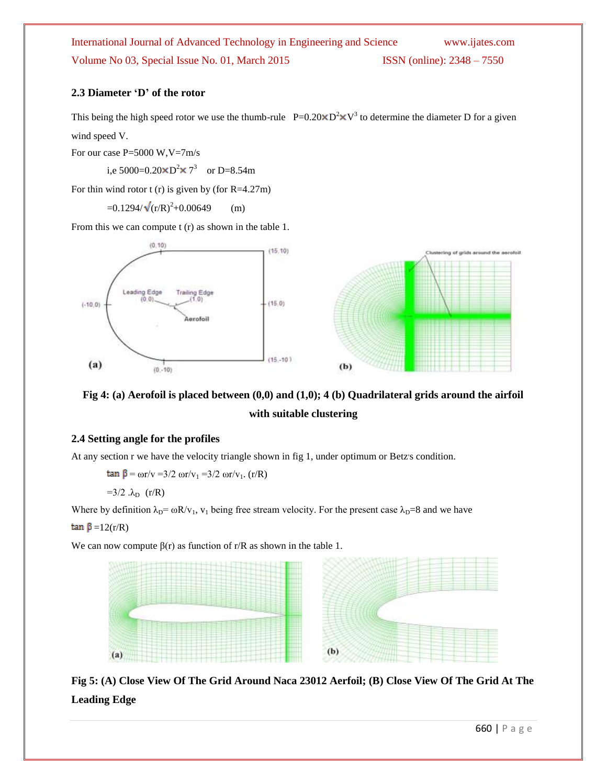# **2.3 Diameter 'D' of the rotor**

This being the high speed rotor we use the thumb-rule  $P=0.20 \times D^2 \times V^3$  to determine the diameter D for a given wind speed V.

For our case P=5000 W,V=7m/s

i,e 5000=0.20 $\times$ D<sup>2</sup> $\times$  7<sup>3</sup> or D=8.54m

For thin wind rotor  $t(r)$  is given by (for R=4.27m)

 $=0.1294/\sqrt{(r/R)^2+0.00649}$  (m)

From this we can compute t (r) as shown in the table 1.



# **Fig 4: (a) Aerofoil is placed between (0,0) and (1,0); 4 (b) Quadrilateral grids around the airfoil with suitable clustering**

### **2.4 Setting angle for the profiles**

At any section r we have the velocity triangle shown in fig 1, under optimum or Betz's condition.

 $tan \beta = \omega r/v = 3/2 \omega r/v_1 = 3/2 \omega r/v_1$ . (r/R)

 $=3/2$  . $\lambda_D$  (r/R)

Where by definition  $\lambda_D = \omega R/v_1$ ,  $v_1$  being free stream velocity. For the present case  $\lambda_D=8$  and we have

tan  $\beta$  =12(r/R)

We can now compute  $\beta(r)$  as function of r/R as shown in the table 1.



**Fig 5: (A) Close View Of The Grid Around Naca 23012 Aerfoil; (B) Close View Of The Grid At The Leading Edge**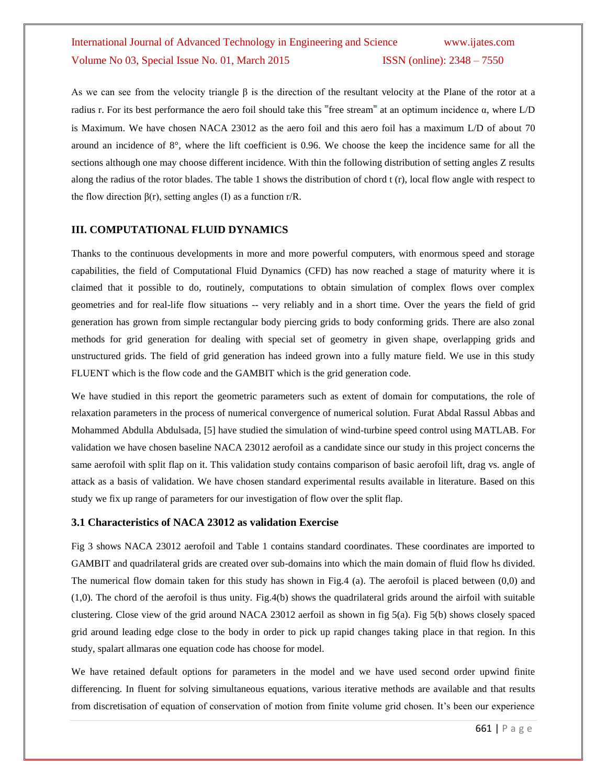As we can see from the velocity triangle  $\beta$  is the direction of the resultant velocity at the Plane of the rotor at a radius r. For its best performance the aero foil should take this "free stream" at an optimum incidence α, where  $L/D$ is Maximum. We have chosen NACA 23012 as the aero foil and this aero foil has a maximum L/D of about 70 around an incidence of 8°, where the lift coefficient is 0.96. We choose the keep the incidence same for all the sections although one may choose different incidence. With thin the following distribution of setting angles Z results along the radius of the rotor blades. The table 1 shows the distribution of chord t (r), local flow angle with respect to the flow direction  $\beta(r)$ , setting angles (I) as a function r/R.

### **III. COMPUTATIONAL FLUID DYNAMICS**

Thanks to the continuous developments in more and more powerful computers, with enormous speed and storage capabilities, the field of Computational Fluid Dynamics (CFD) has now reached a stage of maturity where it is claimed that it possible to do, routinely, computations to obtain simulation of complex flows over complex geometries and for real-life flow situations -- very reliably and in a short time. Over the years the field of grid generation has grown from simple rectangular body piercing grids to body conforming grids. There are also zonal methods for grid generation for dealing with special set of geometry in given shape, overlapping grids and unstructured grids. The field of grid generation has indeed grown into a fully mature field. We use in this study FLUENT which is the flow code and the GAMBIT which is the grid generation code.

We have studied in this report the geometric parameters such as extent of domain for computations, the role of relaxation parameters in the process of numerical convergence of numerical solution. Furat Abdal Rassul Abbas and Mohammed Abdulla Abdulsada, [5] have studied the simulation of wind-turbine speed control using MATLAB. For validation we have chosen baseline NACA 23012 aerofoil as a candidate since our study in this project concerns the same aerofoil with split flap on it. This validation study contains comparison of basic aerofoil lift, drag vs. angle of attack as a basis of validation. We have chosen standard experimental results available in literature. Based on this study we fix up range of parameters for our investigation of flow over the split flap.

### **3.1 Characteristics of NACA 23012 as validation Exercise**

Fig 3 shows NACA 23012 aerofoil and Table 1 contains standard coordinates. These coordinates are imported to GAMBIT and quadrilateral grids are created over sub-domains into which the main domain of fluid flow hs divided. The numerical flow domain taken for this study has shown in Fig.4 (a). The aerofoil is placed between (0,0) and (1,0). The chord of the aerofoil is thus unity. Fig.4(b) shows the quadrilateral grids around the airfoil with suitable clustering. Close view of the grid around NACA 23012 aerfoil as shown in fig 5(a). Fig 5(b) shows closely spaced grid around leading edge close to the body in order to pick up rapid changes taking place in that region. In this study, spalart allmaras one equation code has choose for model.

We have retained default options for parameters in the model and we have used second order upwind finite differencing. In fluent for solving simultaneous equations, various iterative methods are available and that results from discretisation of equation of conservation of motion from finite volume grid chosen. It's been our experience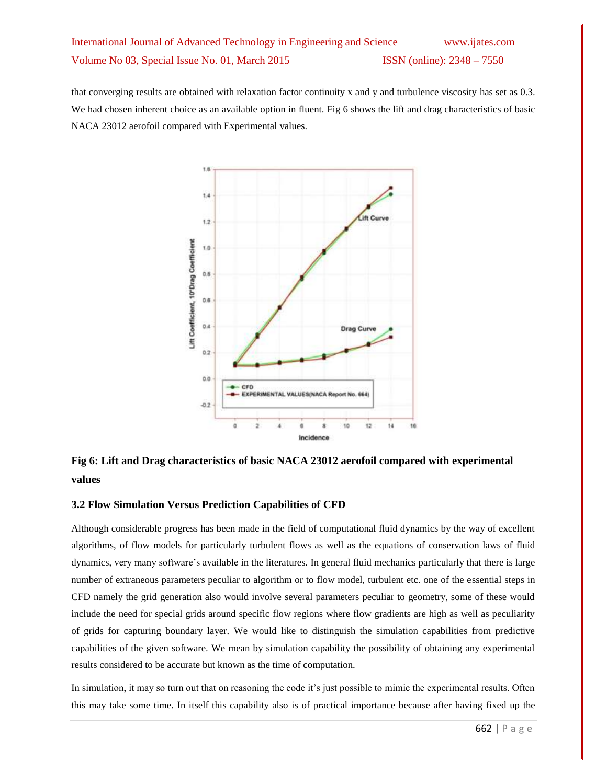that converging results are obtained with relaxation factor continuity x and y and turbulence viscosity has set as 0.3. We had chosen inherent choice as an available option in fluent. Fig 6 shows the lift and drag characteristics of basic NACA 23012 aerofoil compared with Experimental values.



**Fig 6: Lift and Drag characteristics of basic NACA 23012 aerofoil compared with experimental values**

### **3.2 Flow Simulation Versus Prediction Capabilities of CFD**

Although considerable progress has been made in the field of computational fluid dynamics by the way of excellent algorithms, of flow models for particularly turbulent flows as well as the equations of conservation laws of fluid dynamics, very many software's available in the literatures. In general fluid mechanics particularly that there is large number of extraneous parameters peculiar to algorithm or to flow model, turbulent etc. one of the essential steps in CFD namely the grid generation also would involve several parameters peculiar to geometry, some of these would include the need for special grids around specific flow regions where flow gradients are high as well as peculiarity of grids for capturing boundary layer. We would like to distinguish the simulation capabilities from predictive capabilities of the given software. We mean by simulation capability the possibility of obtaining any experimental results considered to be accurate but known as the time of computation.

In simulation, it may so turn out that on reasoning the code it's just possible to mimic the experimental results. Often this may take some time. In itself this capability also is of practical importance because after having fixed up the